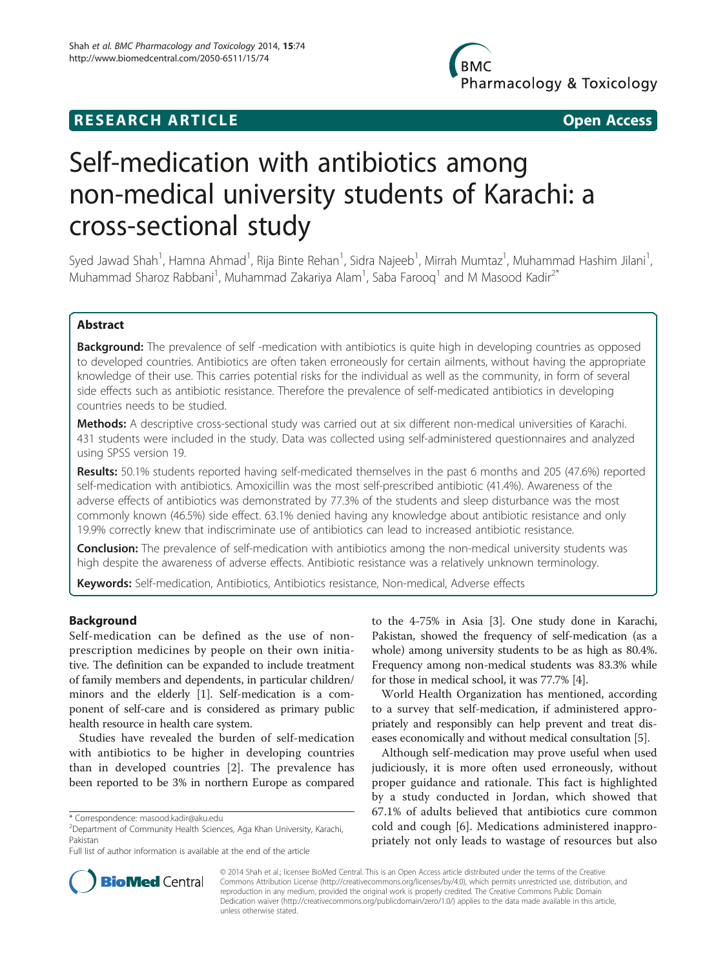## **RESEARCH ARTICLE Example 2014 CONSIDERING CONSIDERING CONSIDERING CONSIDERING CONSIDERING CONSIDERING CONSIDERING CONSIDERING CONSIDERING CONSIDERING CONSIDERING CONSIDERING CONSIDERING CONSIDERING CONSIDERING CONSIDE**

**BMC** Pharmacology & Toxicology

# Self-medication with antibiotics among non-medical university students of Karachi: a cross-sectional study

Syed Jawad Shah<sup>1</sup>, Hamna Ahmad<sup>1</sup>, Rija Binte Rehan<sup>1</sup>, Sidra Najeeb<sup>1</sup>, Mirrah Mumtaz<sup>1</sup>, Muhammad Hashim Jilani<sup>1</sup> , Muhammad Sharoz Rabbani<sup>1</sup>, Muhammad Zakariya Alam<sup>1</sup>, Saba Farooq<sup>1</sup> and M Masood Kadir<sup>2\*</sup>

### Abstract

Background: The prevalence of self-medication with antibiotics is quite high in developing countries as opposed to developed countries. Antibiotics are often taken erroneously for certain ailments, without having the appropriate knowledge of their use. This carries potential risks for the individual as well as the community, in form of several side effects such as antibiotic resistance. Therefore the prevalence of self-medicated antibiotics in developing countries needs to be studied.

Methods: A descriptive cross-sectional study was carried out at six different non-medical universities of Karachi. 431 students were included in the study. Data was collected using self-administered questionnaires and analyzed using SPSS version 19.

Results: 50.1% students reported having self-medicated themselves in the past 6 months and 205 (47.6%) reported self-medication with antibiotics. Amoxicillin was the most self-prescribed antibiotic (41.4%). Awareness of the adverse effects of antibiotics was demonstrated by 77.3% of the students and sleep disturbance was the most commonly known (46.5%) side effect. 63.1% denied having any knowledge about antibiotic resistance and only 19.9% correctly knew that indiscriminate use of antibiotics can lead to increased antibiotic resistance.

**Conclusion:** The prevalence of self-medication with antibiotics among the non-medical university students was high despite the awareness of adverse effects. Antibiotic resistance was a relatively unknown terminology.

Keywords: Self-medication, Antibiotics, Antibiotics resistance, Non-medical, Adverse effects

#### Background

Self-medication can be defined as the use of nonprescription medicines by people on their own initiative. The definition can be expanded to include treatment of family members and dependents, in particular children/ minors and the elderly [\[1](#page-6-0)]. Self-medication is a component of self-care and is considered as primary public health resource in health care system.

Studies have revealed the burden of self-medication with antibiotics to be higher in developing countries than in developed countries [\[2](#page-6-0)]. The prevalence has been reported to be 3% in northern Europe as compared

to the 4-75% in Asia [\[3\]](#page-6-0). One study done in Karachi, Pakistan, showed the frequency of self-medication (as a whole) among university students to be as high as 80.4%. Frequency among non-medical students was 83.3% while for those in medical school, it was 77.7% [\[4\]](#page-6-0).

World Health Organization has mentioned, according to a survey that self-medication, if administered appropriately and responsibly can help prevent and treat diseases economically and without medical consultation [[5](#page-6-0)].

Although self-medication may prove useful when used judiciously, it is more often used erroneously, without proper guidance and rationale. This fact is highlighted by a study conducted in Jordan, which showed that 67.1% of adults believed that antibiotics cure common cold and cough [[6\]](#page-6-0). Medications administered inappropriately not only leads to wastage of resources but also



© 2014 Shah et al.; licensee BioMed Central. This is an Open Access article distributed under the terms of the Creative Commons Attribution License [\(http://creativecommons.org/licenses/by/4.0\)](http://creativecommons.org/licenses/by/4.0), which permits unrestricted use, distribution, and reproduction in any medium, provided the original work is properly credited. The Creative Commons Public Domain Dedication waiver [\(http://creativecommons.org/publicdomain/zero/1.0/](http://creativecommons.org/publicdomain/zero/1.0/)) applies to the data made available in this article, unless otherwise stated.

<sup>\*</sup> Correspondence: [masood.kadir@aku.edu](mailto:masood.kadir@aku.edu) <sup>2</sup>

<sup>&</sup>lt;sup>2</sup>Department of Community Health Sciences, Aga Khan University, Karachi, Pakistan

Full list of author information is available at the end of the article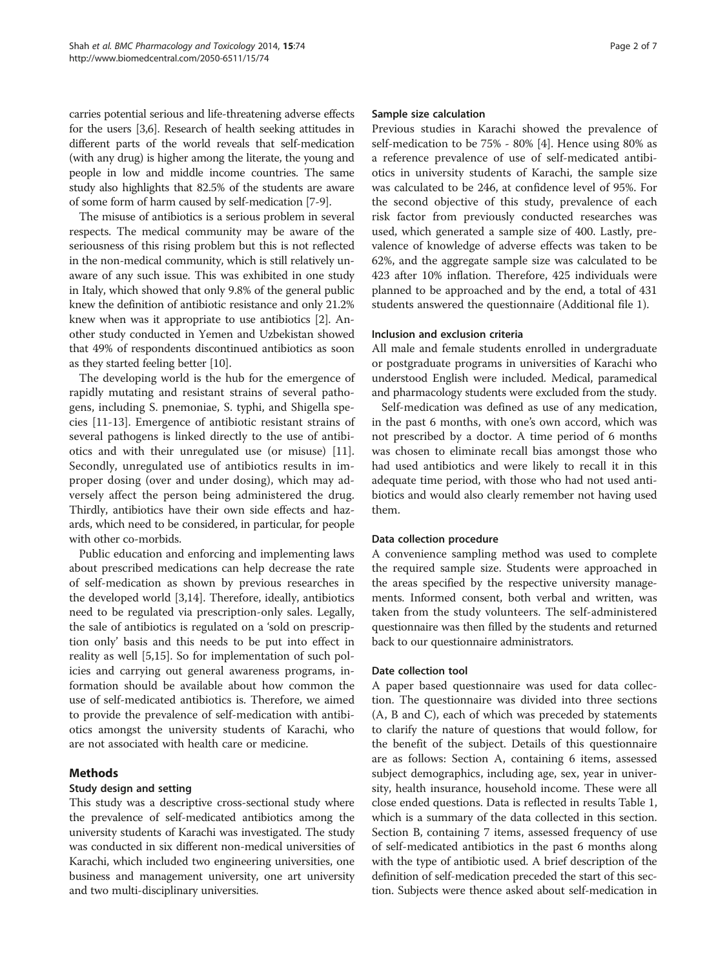carries potential serious and life-threatening adverse effects for the users [\[3,6\]](#page-6-0). Research of health seeking attitudes in different parts of the world reveals that self-medication (with any drug) is higher among the literate, the young and people in low and middle income countries. The same study also highlights that 82.5% of the students are aware of some form of harm caused by self-medication [[7-9\]](#page-6-0).

The misuse of antibiotics is a serious problem in several respects. The medical community may be aware of the seriousness of this rising problem but this is not reflected in the non-medical community, which is still relatively unaware of any such issue. This was exhibited in one study in Italy, which showed that only 9.8% of the general public knew the definition of antibiotic resistance and only 21.2% knew when was it appropriate to use antibiotics [\[2](#page-6-0)]. Another study conducted in Yemen and Uzbekistan showed that 49% of respondents discontinued antibiotics as soon as they started feeling better [[10](#page-6-0)].

The developing world is the hub for the emergence of rapidly mutating and resistant strains of several pathogens, including S. pnemoniae, S. typhi, and Shigella species [[11-13\]](#page-6-0). Emergence of antibiotic resistant strains of several pathogens is linked directly to the use of antibiotics and with their unregulated use (or misuse) [\[11](#page-6-0)]. Secondly, unregulated use of antibiotics results in improper dosing (over and under dosing), which may adversely affect the person being administered the drug. Thirdly, antibiotics have their own side effects and hazards, which need to be considered, in particular, for people with other co-morbids.

Public education and enforcing and implementing laws about prescribed medications can help decrease the rate of self-medication as shown by previous researches in the developed world [\[3,14](#page-6-0)]. Therefore, ideally, antibiotics need to be regulated via prescription-only sales. Legally, the sale of antibiotics is regulated on a 'sold on prescription only' basis and this needs to be put into effect in reality as well [\[5,15](#page-6-0)]. So for implementation of such policies and carrying out general awareness programs, information should be available about how common the use of self-medicated antibiotics is. Therefore, we aimed to provide the prevalence of self-medication with antibiotics amongst the university students of Karachi, who are not associated with health care or medicine.

#### Methods

#### Study design and setting

This study was a descriptive cross-sectional study where the prevalence of self-medicated antibiotics among the university students of Karachi was investigated. The study was conducted in six different non-medical universities of Karachi, which included two engineering universities, one business and management university, one art university and two multi-disciplinary universities.

#### Sample size calculation

Previous studies in Karachi showed the prevalence of self-medication to be 75% - 80% [\[4](#page-6-0)]. Hence using 80% as a reference prevalence of use of self-medicated antibiotics in university students of Karachi, the sample size was calculated to be 246, at confidence level of 95%. For the second objective of this study, prevalence of each risk factor from previously conducted researches was used, which generated a sample size of 400. Lastly, prevalence of knowledge of adverse effects was taken to be 62%, and the aggregate sample size was calculated to be 423 after 10% inflation. Therefore, 425 individuals were planned to be approached and by the end, a total of 431 students answered the questionnaire (Additional file [1\)](#page-5-0).

#### Inclusion and exclusion criteria

All male and female students enrolled in undergraduate or postgraduate programs in universities of Karachi who understood English were included. Medical, paramedical and pharmacology students were excluded from the study.

Self-medication was defined as use of any medication, in the past 6 months, with one's own accord, which was not prescribed by a doctor. A time period of 6 months was chosen to eliminate recall bias amongst those who had used antibiotics and were likely to recall it in this adequate time period, with those who had not used antibiotics and would also clearly remember not having used them.

#### Data collection procedure

A convenience sampling method was used to complete the required sample size. Students were approached in the areas specified by the respective university managements. Informed consent, both verbal and written, was taken from the study volunteers. The self-administered questionnaire was then filled by the students and returned back to our questionnaire administrators.

#### Date collection tool

A paper based questionnaire was used for data collection. The questionnaire was divided into three sections (A, B and C), each of which was preceded by statements to clarify the nature of questions that would follow, for the benefit of the subject. Details of this questionnaire are as follows: Section A, containing 6 items, assessed subject demographics, including age, sex, year in university, health insurance, household income. These were all close ended questions. Data is reflected in results Table [1](#page-2-0), which is a summary of the data collected in this section. Section B, containing 7 items, assessed frequency of use of self-medicated antibiotics in the past 6 months along with the type of antibiotic used. A brief description of the definition of self-medication preceded the start of this section. Subjects were thence asked about self-medication in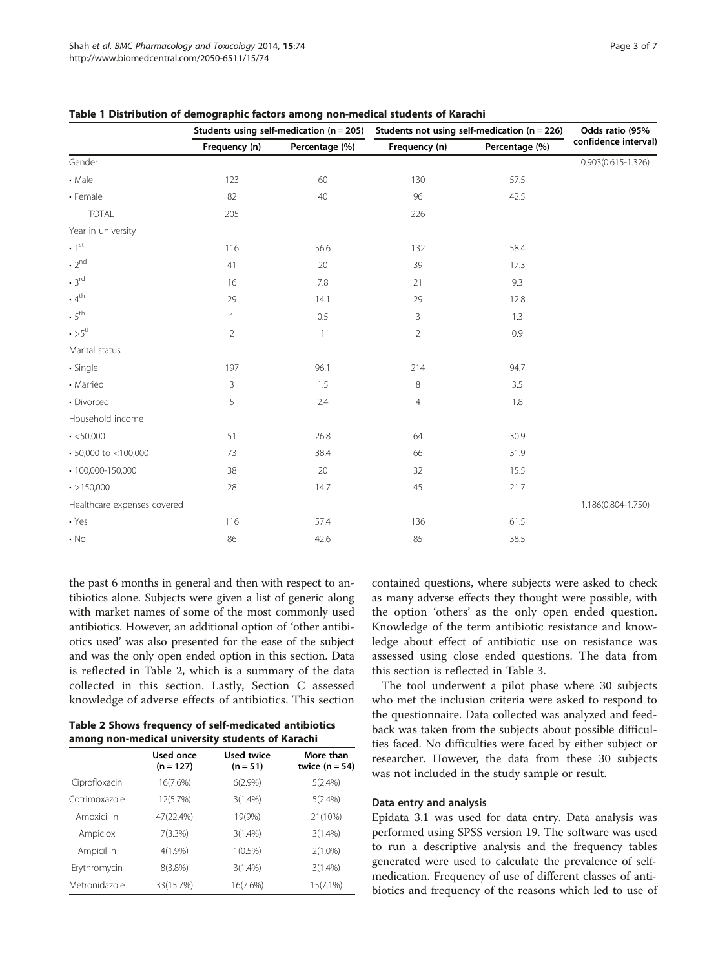|                             |                |                | Students using self-medication ( $n = 205$ ) Students not using self-medication ( $n = 226$ ) |                | Odds ratio (95%        |
|-----------------------------|----------------|----------------|-----------------------------------------------------------------------------------------------|----------------|------------------------|
|                             | Frequency (n)  | Percentage (%) | Frequency (n)                                                                                 | Percentage (%) | confidence interval)   |
| Gender                      |                |                |                                                                                               |                | $0.903(0.615 - 1.326)$ |
| $\cdot$ Male                | 123            | 60             | 130                                                                                           | 57.5           |                        |
| • Female                    | 82             | 40             | 96                                                                                            | 42.5           |                        |
| <b>TOTAL</b>                | 205            |                | 226                                                                                           |                |                        |
| Year in university          |                |                |                                                                                               |                |                        |
| $\cdot$ 1 <sup>st</sup>     | 116            | 56.6           | 132                                                                                           | 58.4           |                        |
| $\cdot$ 2 <sup>nd</sup>     | 41             | 20             | 39                                                                                            | 17.3           |                        |
| $\cdot$ 3 <sup>rd</sup>     | 16             | 7.8            | 21                                                                                            | 9.3            |                        |
| . $4^{\text{th}}$           | 29             | 14.1           | 29                                                                                            | 12.8           |                        |
| $\bullet$ $5^{\text{th}}$   | $\mathbf{1}$   | 0.5            | 3                                                                                             | 1.3            |                        |
| $\cdot$ >5 <sup>th</sup>    | $\overline{2}$ | $\mathbf{1}$   | $\overline{2}$                                                                                | 0.9            |                        |
| Marital status              |                |                |                                                                                               |                |                        |
| · Single                    | 197            | 96.1           | 214                                                                                           | 94.7           |                        |
| • Married                   | $\overline{3}$ | 1.5            | $\,8\,$                                                                                       | 3.5            |                        |
| • Divorced                  | 5              | 2.4            | $\overline{4}$                                                                                | 1.8            |                        |
| Household income            |                |                |                                                                                               |                |                        |
| $\cdot$ <50,000             | 51             | 26.8           | 64                                                                                            | 30.9           |                        |
| $\cdot$ 50,000 to <100,000  | 73             | 38.4           | 66                                                                                            | 31.9           |                        |
| $\cdot$ 100,000-150,000     | 38             | 20             | 32                                                                                            | 15.5           |                        |
| $\cdot$ >150,000            | 28             | 14.7           | 45                                                                                            | 21.7           |                        |
| Healthcare expenses covered |                |                |                                                                                               |                | 1.186(0.804-1.750)     |
| $\cdot$ Yes                 | 116            | 57.4           | 136                                                                                           | 61.5           |                        |
| $\cdot$ No                  | 86             | 42.6           | 85                                                                                            | 38.5           |                        |

<span id="page-2-0"></span>Table 1 Distribution of demographic factors among non-medical students of Karachi

the past 6 months in general and then with respect to antibiotics alone. Subjects were given a list of generic along with market names of some of the most commonly used antibiotics. However, an additional option of 'other antibiotics used' was also presented for the ease of the subject and was the only open ended option in this section. Data is reflected in Table 2, which is a summary of the data collected in this section. Lastly, Section C assessed knowledge of adverse effects of antibiotics. This section

Table 2 Shows frequency of self-medicated antibiotics among non-medical university students of Karachi

|               | Used once<br>$(n = 127)$ | <b>Used twice</b><br>$(n = 51)$ | More than<br>twice $(n = 54)$ |
|---------------|--------------------------|---------------------------------|-------------------------------|
| Ciprofloxacin | 16(7.6%)                 | $6(2.9\%)$                      | 5(2.4%)                       |
| Cotrimoxazole | 12(5.7%)                 | 3(1.4%)                         | 5(2.4%)                       |
| Amoxicillin   | 47(22.4%)                | 19(9%)                          | 21(10%)                       |
| Ampiclox      | 7(3.3%)                  | 3(1.4%)                         | $3(1.4\%)$                    |
| Ampicillin    | $4(1.9\%)$               | $1(0.5\%)$                      | $2(1.0\%)$                    |
| Erythromycin  | $8(3.8\%)$               | 3(1.4%)                         | $3(1.4\%)$                    |
| Metronidazole | 33(15.7%)                | 16(7.6%)                        | 15(7.1%)                      |

contained questions, where subjects were asked to check as many adverse effects they thought were possible, with the option 'others' as the only open ended question. Knowledge of the term antibiotic resistance and knowledge about effect of antibiotic use on resistance was assessed using close ended questions. The data from this section is reflected in Table [3](#page-3-0).

The tool underwent a pilot phase where 30 subjects who met the inclusion criteria were asked to respond to the questionnaire. Data collected was analyzed and feedback was taken from the subjects about possible difficulties faced. No difficulties were faced by either subject or researcher. However, the data from these 30 subjects was not included in the study sample or result.

#### Data entry and analysis

Epidata 3.1 was used for data entry. Data analysis was performed using SPSS version 19. The software was used to run a descriptive analysis and the frequency tables generated were used to calculate the prevalence of selfmedication. Frequency of use of different classes of antibiotics and frequency of the reasons which led to use of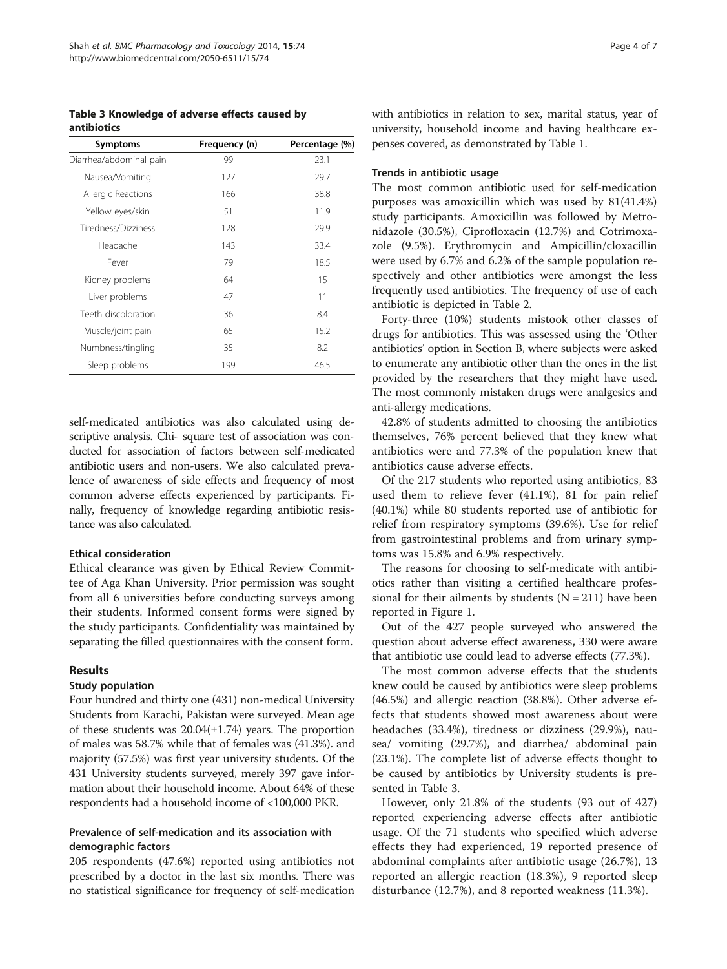<span id="page-3-0"></span>Table 3 Knowledge of adverse effects caused by antibiotics

| Symptoms                | Frequency (n) | Percentage (%) |  |
|-------------------------|---------------|----------------|--|
| Diarrhea/abdominal pain | 99            | 23.1           |  |
| Nausea/Vomiting         | 127           | 29.7           |  |
| Allergic Reactions      | 166           | 38.8           |  |
| Yellow eyes/skin        | 51            | 11.9           |  |
| Tiredness/Dizziness     | 128           | 29.9           |  |
| Headache                | 143           | 33.4           |  |
| Fever                   | 79            | 18.5           |  |
| Kidney problems         | 64            | 15             |  |
| Liver problems          | 47            | 11             |  |
| Teeth discoloration     | 36            | 8.4            |  |
| Muscle/joint pain       | 65            | 15.2           |  |
| Numbness/tingling       | 35            | 8.2            |  |
| Sleep problems          | 199           | 46.5           |  |
|                         |               |                |  |

self-medicated antibiotics was also calculated using descriptive analysis. Chi- square test of association was conducted for association of factors between self-medicated antibiotic users and non-users. We also calculated prevalence of awareness of side effects and frequency of most common adverse effects experienced by participants. Finally, frequency of knowledge regarding antibiotic resistance was also calculated.

#### Ethical consideration

Ethical clearance was given by Ethical Review Committee of Aga Khan University. Prior permission was sought from all 6 universities before conducting surveys among their students. Informed consent forms were signed by the study participants. Confidentiality was maintained by separating the filled questionnaires with the consent form.

#### Results

#### Study population

Four hundred and thirty one (431) non-medical University Students from Karachi, Pakistan were surveyed. Mean age of these students was  $20.04(\pm 1.74)$  years. The proportion of males was 58.7% while that of females was (41.3%). and majority (57.5%) was first year university students. Of the 431 University students surveyed, merely 397 gave information about their household income. About 64% of these respondents had a household income of <100,000 PKR.

#### Prevalence of self-medication and its association with demographic factors

205 respondents (47.6%) reported using antibiotics not prescribed by a doctor in the last six months. There was no statistical significance for frequency of self-medication with antibiotics in relation to sex, marital status, year of university, household income and having healthcare expenses covered, as demonstrated by Table [1](#page-2-0).

#### Trends in antibiotic usage

The most common antibiotic used for self-medication purposes was amoxicillin which was used by 81(41.4%) study participants. Amoxicillin was followed by Metronidazole (30.5%), Ciprofloxacin (12.7%) and Cotrimoxazole (9.5%). Erythromycin and Ampicillin/cloxacillin were used by 6.7% and 6.2% of the sample population respectively and other antibiotics were amongst the less frequently used antibiotics. The frequency of use of each antibiotic is depicted in Table [2.](#page-2-0)

Forty-three (10%) students mistook other classes of drugs for antibiotics. This was assessed using the 'Other antibiotics' option in Section B, where subjects were asked to enumerate any antibiotic other than the ones in the list provided by the researchers that they might have used. The most commonly mistaken drugs were analgesics and anti-allergy medications.

42.8% of students admitted to choosing the antibiotics themselves, 76% percent believed that they knew what antibiotics were and 77.3% of the population knew that antibiotics cause adverse effects.

Of the 217 students who reported using antibiotics, 83 used them to relieve fever (41.1%), 81 for pain relief (40.1%) while 80 students reported use of antibiotic for relief from respiratory symptoms (39.6%). Use for relief from gastrointestinal problems and from urinary symptoms was 15.8% and 6.9% respectively.

The reasons for choosing to self-medicate with antibiotics rather than visiting a certified healthcare professional for their ailments by students  $(N = 211)$  have been reported in Figure [1](#page-4-0).

Out of the 427 people surveyed who answered the question about adverse effect awareness, 330 were aware that antibiotic use could lead to adverse effects (77.3%).

The most common adverse effects that the students knew could be caused by antibiotics were sleep problems (46.5%) and allergic reaction (38.8%). Other adverse effects that students showed most awareness about were headaches (33.4%), tiredness or dizziness (29.9%), nausea/ vomiting (29.7%), and diarrhea/ abdominal pain (23.1%). The complete list of adverse effects thought to be caused by antibiotics by University students is presented in Table 3.

However, only 21.8% of the students (93 out of 427) reported experiencing adverse effects after antibiotic usage. Of the 71 students who specified which adverse effects they had experienced, 19 reported presence of abdominal complaints after antibiotic usage (26.7%), 13 reported an allergic reaction (18.3%), 9 reported sleep disturbance (12.7%), and 8 reported weakness (11.3%).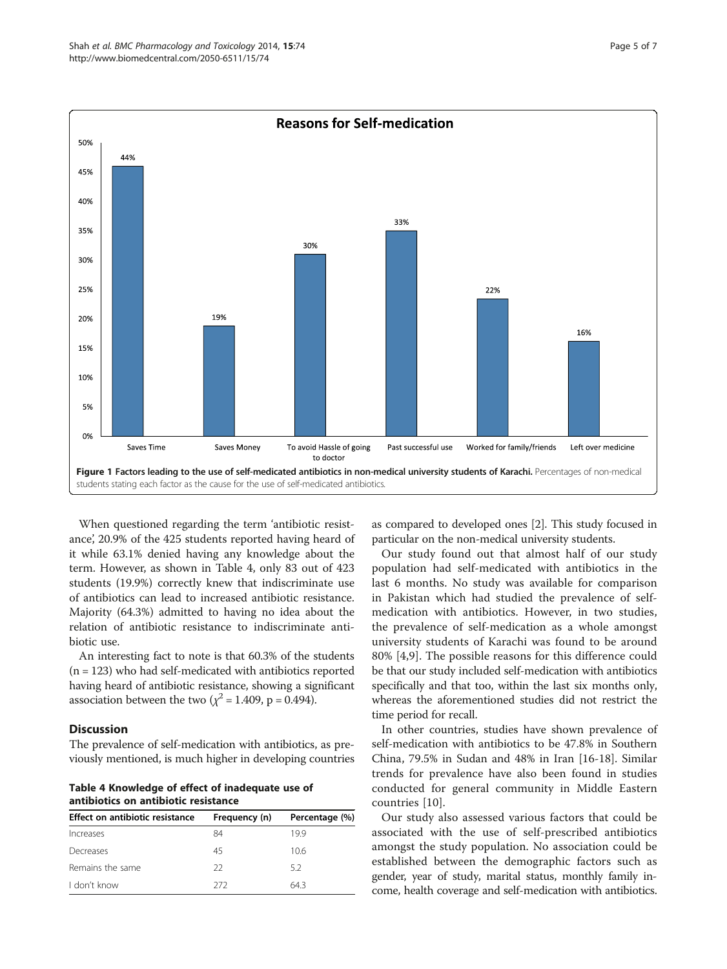<span id="page-4-0"></span>

When questioned regarding the term 'antibiotic resistance', 20.9% of the 425 students reported having heard of it while 63.1% denied having any knowledge about the term. However, as shown in Table 4, only 83 out of 423 students (19.9%) correctly knew that indiscriminate use of antibiotics can lead to increased antibiotic resistance. Majority (64.3%) admitted to having no idea about the relation of antibiotic resistance to indiscriminate antibiotic use.

An interesting fact to note is that 60.3% of the students (n = 123) who had self-medicated with antibiotics reported having heard of antibiotic resistance, showing a significant association between the two ( $\chi^2$  = 1.409, p = 0.494).

#### **Discussion**

The prevalence of self-medication with antibiotics, as previously mentioned, is much higher in developing countries

Table 4 Knowledge of effect of inadequate use of antibiotics on antibiotic resistance

| Effect on antibiotic resistance | Frequency (n) | Percentage (%) |
|---------------------------------|---------------|----------------|
| Increases                       | 84            | 199            |
| Decreases                       | 45            | 10.6           |
| Remains the same                | フフ            | 52             |
| I don't know                    | 272           | 643            |

as compared to developed ones [\[2](#page-6-0)]. This study focused in particular on the non-medical university students.

Our study found out that almost half of our study population had self-medicated with antibiotics in the last 6 months. No study was available for comparison in Pakistan which had studied the prevalence of selfmedication with antibiotics. However, in two studies, the prevalence of self-medication as a whole amongst university students of Karachi was found to be around 80% [[4,9](#page-6-0)]. The possible reasons for this difference could be that our study included self-medication with antibiotics specifically and that too, within the last six months only, whereas the aforementioned studies did not restrict the time period for recall.

In other countries, studies have shown prevalence of self-medication with antibiotics to be 47.8% in Southern China, 79.5% in Sudan and 48% in Iran [\[16](#page-6-0)-[18\]](#page-6-0). Similar trends for prevalence have also been found in studies conducted for general community in Middle Eastern countries [[10\]](#page-6-0).

Our study also assessed various factors that could be associated with the use of self-prescribed antibiotics amongst the study population. No association could be established between the demographic factors such as gender, year of study, marital status, monthly family income, health coverage and self-medication with antibiotics.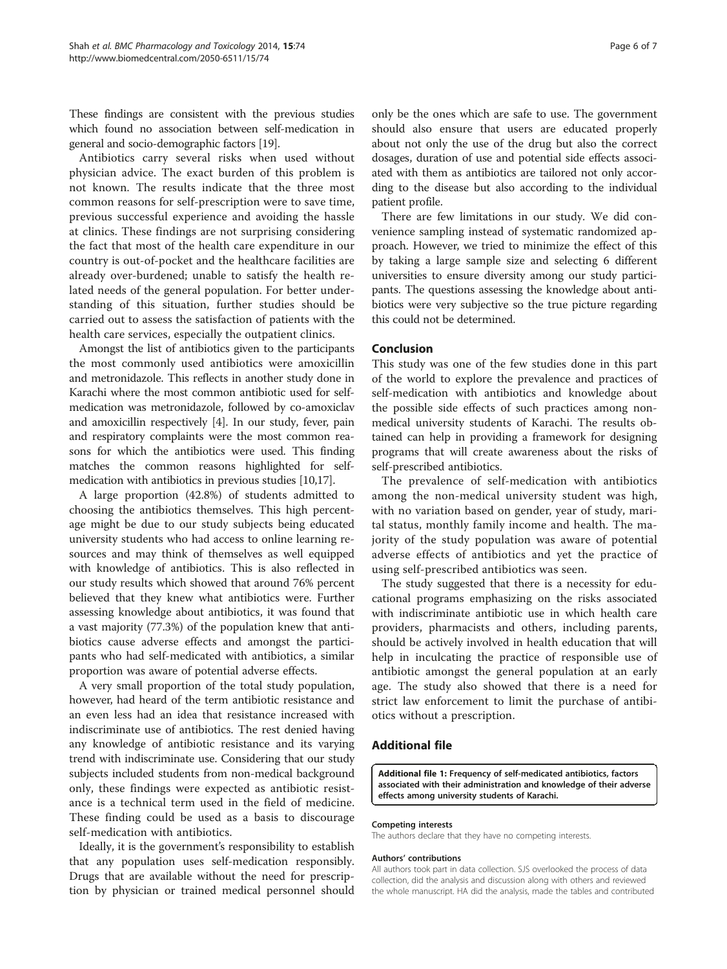<span id="page-5-0"></span>These findings are consistent with the previous studies which found no association between self-medication in general and socio-demographic factors [\[19](#page-6-0)].

Antibiotics carry several risks when used without physician advice. The exact burden of this problem is not known. The results indicate that the three most common reasons for self-prescription were to save time, previous successful experience and avoiding the hassle at clinics. These findings are not surprising considering the fact that most of the health care expenditure in our country is out-of-pocket and the healthcare facilities are already over-burdened; unable to satisfy the health related needs of the general population. For better understanding of this situation, further studies should be carried out to assess the satisfaction of patients with the health care services, especially the outpatient clinics.

Amongst the list of antibiotics given to the participants the most commonly used antibiotics were amoxicillin and metronidazole. This reflects in another study done in Karachi where the most common antibiotic used for selfmedication was metronidazole, followed by co-amoxiclav and amoxicillin respectively [[4\]](#page-6-0). In our study, fever, pain and respiratory complaints were the most common reasons for which the antibiotics were used. This finding matches the common reasons highlighted for selfmedication with antibiotics in previous studies [\[10,17\]](#page-6-0).

A large proportion (42.8%) of students admitted to choosing the antibiotics themselves. This high percentage might be due to our study subjects being educated university students who had access to online learning resources and may think of themselves as well equipped with knowledge of antibiotics. This is also reflected in our study results which showed that around 76% percent believed that they knew what antibiotics were. Further assessing knowledge about antibiotics, it was found that a vast majority (77.3%) of the population knew that antibiotics cause adverse effects and amongst the participants who had self-medicated with antibiotics, a similar proportion was aware of potential adverse effects.

A very small proportion of the total study population, however, had heard of the term antibiotic resistance and an even less had an idea that resistance increased with indiscriminate use of antibiotics. The rest denied having any knowledge of antibiotic resistance and its varying trend with indiscriminate use. Considering that our study subjects included students from non-medical background only, these findings were expected as antibiotic resistance is a technical term used in the field of medicine. These finding could be used as a basis to discourage self-medication with antibiotics.

Ideally, it is the government's responsibility to establish that any population uses self-medication responsibly. Drugs that are available without the need for prescription by physician or trained medical personnel should

only be the ones which are safe to use. The government should also ensure that users are educated properly about not only the use of the drug but also the correct dosages, duration of use and potential side effects associated with them as antibiotics are tailored not only according to the disease but also according to the individual patient profile.

There are few limitations in our study. We did convenience sampling instead of systematic randomized approach. However, we tried to minimize the effect of this by taking a large sample size and selecting 6 different universities to ensure diversity among our study participants. The questions assessing the knowledge about antibiotics were very subjective so the true picture regarding this could not be determined.

#### Conclusion

This study was one of the few studies done in this part of the world to explore the prevalence and practices of self-medication with antibiotics and knowledge about the possible side effects of such practices among nonmedical university students of Karachi. The results obtained can help in providing a framework for designing programs that will create awareness about the risks of self-prescribed antibiotics.

The prevalence of self-medication with antibiotics among the non-medical university student was high, with no variation based on gender, year of study, marital status, monthly family income and health. The majority of the study population was aware of potential adverse effects of antibiotics and yet the practice of using self-prescribed antibiotics was seen.

The study suggested that there is a necessity for educational programs emphasizing on the risks associated with indiscriminate antibiotic use in which health care providers, pharmacists and others, including parents, should be actively involved in health education that will help in inculcating the practice of responsible use of antibiotic amongst the general population at an early age. The study also showed that there is a need for strict law enforcement to limit the purchase of antibiotics without a prescription.

#### Additional file

[Additional file 1:](http://www.biomedcentral.com/content/supplementary/2050-6511-15-74-S1.docx) Frequency of self-medicated antibiotics, factors associated with their administration and knowledge of their adverse effects among university students of Karachi.

#### Competing interests

The authors declare that they have no competing interests.

#### Authors' contributions

All authors took part in data collection. SJS overlooked the process of data collection, did the analysis and discussion along with others and reviewed the whole manuscript. HA did the analysis, made the tables and contributed